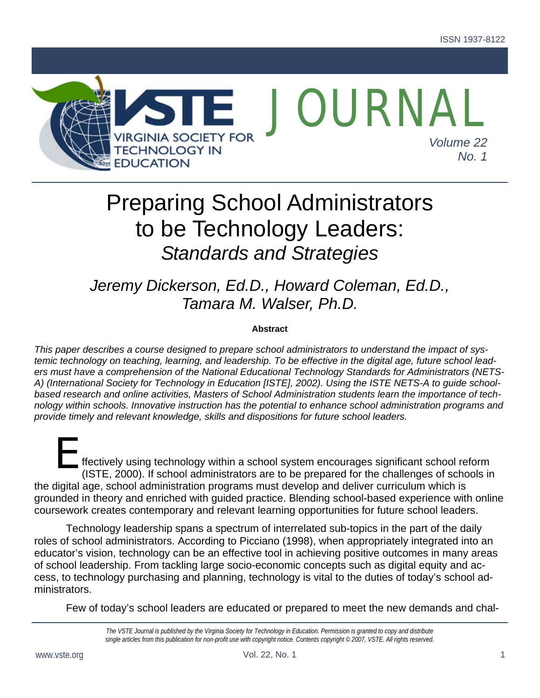

# Preparing School Administrators to be Technology Leaders: *Standards and Strategies*

## *Jeremy Dickerson, Ed.D., Howard Coleman, Ed.D., Tamara M. Walser, Ph.D.*

#### **Abstract**

*This paper describes a course designed to prepare school administrators to understand the impact of systemic technology on teaching, learning, and leadership. To be effective in the digital age, future school leaders must have a comprehension of the National Educational Technology Standards for Administrators (NETS-A) (International Society for Technology in Education [ISTE], 2002). Using the ISTE NETS-A to guide schoolbased research and online activities, Masters of School Administration students learn the importance of technology within schools. Innovative instruction has the potential to enhance school administration programs and provide timely and relevant knowledge, skills and dispositions for future school leaders.* 

ffectively using technology within a school system encourages significant school reform (ISTE, 2000). If school administrators are to be prepared for the challenges of schools in the digital age, school administration programs must develop and deliver curriculum which is grounded in theory and enriched with guided practice. Blending school-based experience with online coursework creates contemporary and relevant learning opportunities for future school leaders. E<br>
ffecti<sup>r</sup><br>
(ISTE

Technology leadership spans a spectrum of interrelated sub-topics in the part of the daily roles of school administrators. According to Picciano (1998), when appropriately integrated into an educator's vision, technology can be an effective tool in achieving positive outcomes in many areas of school leadership. From tackling large socio-economic concepts such as digital equity and access, to technology purchasing and planning, technology is vital to the duties of today's school administrators.

Few of today's school leaders are educated or prepared to meet the new demands and chal-

*The VSTE Journal is published by the Virginia Society for Technology in Education. Permission is granted to copy and distribute single articles from this publication for non-profit use with copyright notice. Contents copyright © 2007, VSTE. All rights reserved.*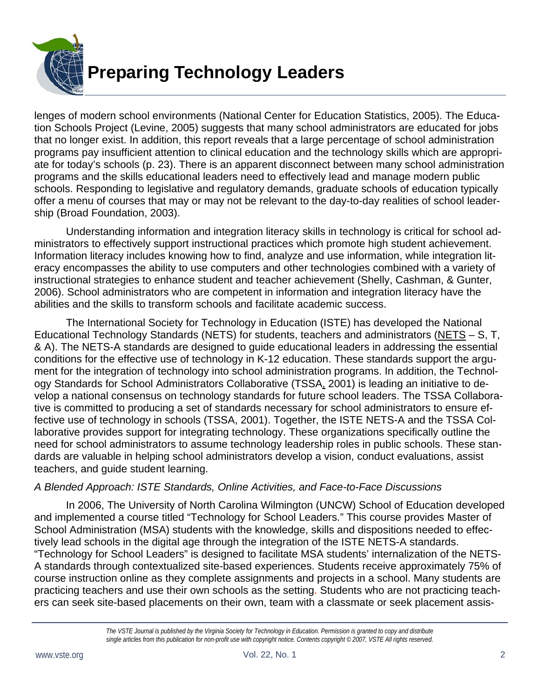

lenges of modern school environments (National Center for Education Statistics, 2005). The Education Schools Project (Levine, 2005) suggests that many school administrators are educated for jobs that no longer exist. In addition, this report reveals that a large percentage of school administration programs pay insufficient attention to clinical education and the technology skills which are appropriate for today's schools (p. 23). There is an apparent disconnect between many school administration programs and the skills educational leaders need to effectively lead and manage modern public schools. Responding to legislative and regulatory demands, graduate schools of education typically offer a menu of courses that may or may not be relevant to the day-to-day realities of school leadership (Broad Foundation, 2003).

 Understanding information and integration literacy skills in technology is critical for school administrators to effectively support instructional practices which promote high student achievement. Information literacy includes knowing how to find, analyze and use information, while integration literacy encompasses the ability to use computers and other technologies combined with a variety of instructional strategies to enhance student and teacher achievement (Shelly, Cashman, & Gunter, 2006). School administrators who are competent in information and integration literacy have the abilities and the skills to transform schools and facilitate academic success.

 The International Society for Technology in Education (ISTE) has developed the National Educational Technology Standards (NETS) for students, teachers and administrators (NETS – S, T, & A). The NETS-A standards are designed to guide educational leaders in addressing the essential conditions for the effective use of technology in K-12 education. These standards support the argument for the integration of technology into school administration programs. In addition, the Technology Standards for School Administrators Collaborative (TSSA, 2001) is leading an initiative to develop a national consensus on technology standards for future school leaders. The TSSA Collaborative is committed to producing a set of standards necessary for school administrators to ensure effective use of technology in schools (TSSA, 2001). Together, the ISTE NETS-A and the TSSA Collaborative provides support for integrating technology. These organizations specifically outline the need for school administrators to assume technology leadership roles in public schools. These standards are valuable in helping school administrators develop a vision, conduct evaluations, assist teachers, and guide student learning.

#### *A Blended Approach: ISTE Standards, Online Activities, and Face-to-Face Discussions*

In 2006, The University of North Carolina Wilmington (UNCW) School of Education developed and implemented a course titled "Technology for School Leaders." This course provides Master of School Administration (MSA) students with the knowledge, skills and dispositions needed to effectively lead schools in the digital age through the integration of the ISTE NETS-A standards. "Technology for School Leaders" is designed to facilitate MSA students' internalization of the NETS-A standards through contextualized site-based experiences. Students receive approximately 75% of course instruction online as they complete assignments and projects in a school. Many students are practicing teachers and use their own schools as the setting. Students who are not practicing teachers can seek site-based placements on their own, team with a classmate or seek placement assis-

*The VSTE Journal is published by the Virginia Society for Technology in Education. Permission is granted to copy and distribute single articles from this publication for non-profit use with copyright notice. Contents copyright © 2007, VSTE All rights reserved.*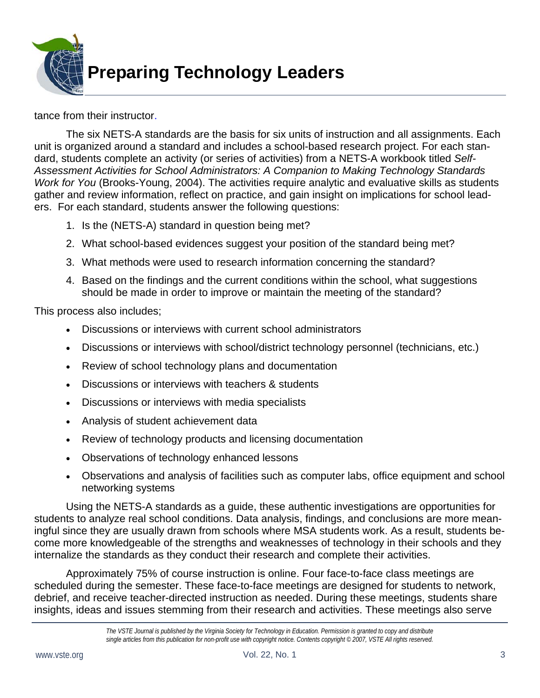

tance from their instructor.

The six NETS-A standards are the basis for six units of instruction and all assignments. Each unit is organized around a standard and includes a school-based research project. For each standard, students complete an activity (or series of activities) from a NETS-A workbook titled *Self-Assessment Activities for School Administrators: A Companion to Making Technology Standards Work for You* (Brooks-Young, 2004). The activities require analytic and evaluative skills as students gather and review information, reflect on practice, and gain insight on implications for school leaders. For each standard, students answer the following questions:

- 1. Is the (NETS-A) standard in question being met?
- 2. What school-based evidences suggest your position of the standard being met?
- 3. What methods were used to research information concerning the standard?
- 4. Based on the findings and the current conditions within the school, what suggestions should be made in order to improve or maintain the meeting of the standard?

This process also includes;

- Discussions or interviews with current school administrators
- Discussions or interviews with school/district technology personnel (technicians, etc.)
- Review of school technology plans and documentation
- Discussions or interviews with teachers & students
- Discussions or interviews with media specialists
- Analysis of student achievement data
- Review of technology products and licensing documentation
- Observations of technology enhanced lessons
- Observations and analysis of facilities such as computer labs, office equipment and school networking systems

Using the NETS-A standards as a guide, these authentic investigations are opportunities for students to analyze real school conditions. Data analysis, findings, and conclusions are more meaningful since they are usually drawn from schools where MSA students work. As a result, students become more knowledgeable of the strengths and weaknesses of technology in their schools and they internalize the standards as they conduct their research and complete their activities.

Approximately 75% of course instruction is online. Four face-to-face class meetings are scheduled during the semester. These face-to-face meetings are designed for students to network, debrief, and receive teacher-directed instruction as needed. During these meetings, students share insights, ideas and issues stemming from their research and activities. These meetings also serve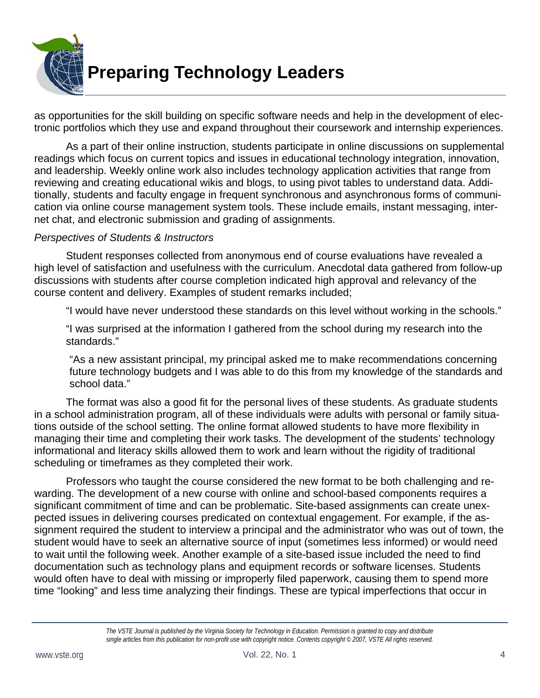

as opportunities for the skill building on specific software needs and help in the development of electronic portfolios which they use and expand throughout their coursework and internship experiences.

As a part of their online instruction, students participate in online discussions on supplemental readings which focus on current topics and issues in educational technology integration, innovation, and leadership. Weekly online work also includes technology application activities that range from reviewing and creating educational wikis and blogs, to using pivot tables to understand data. Additionally, students and faculty engage in frequent synchronous and asynchronous forms of communication via online course management system tools. These include emails, instant messaging, internet chat, and electronic submission and grading of assignments.

#### *Perspectives of Students & Instructors*

 Student responses collected from anonymous end of course evaluations have revealed a high level of satisfaction and usefulness with the curriculum. Anecdotal data gathered from follow-up discussions with students after course completion indicated high approval and relevancy of the course content and delivery. Examples of student remarks included;

"I would have never understood these standards on this level without working in the schools."

"I was surprised at the information I gathered from the school during my research into the standards."

"As a new assistant principal, my principal asked me to make recommendations concerning future technology budgets and I was able to do this from my knowledge of the standards and school data."

The format was also a good fit for the personal lives of these students. As graduate students in a school administration program, all of these individuals were adults with personal or family situations outside of the school setting. The online format allowed students to have more flexibility in managing their time and completing their work tasks. The development of the students' technology informational and literacy skills allowed them to work and learn without the rigidity of traditional scheduling or timeframes as they completed their work.

Professors who taught the course considered the new format to be both challenging and rewarding. The development of a new course with online and school-based components requires a significant commitment of time and can be problematic. Site-based assignments can create unexpected issues in delivering courses predicated on contextual engagement. For example, if the assignment required the student to interview a principal and the administrator who was out of town, the student would have to seek an alternative source of input (sometimes less informed) or would need to wait until the following week. Another example of a site-based issue included the need to find documentation such as technology plans and equipment records or software licenses. Students would often have to deal with missing or improperly filed paperwork, causing them to spend more time "looking" and less time analyzing their findings. These are typical imperfections that occur in

*The VSTE Journal is published by the Virginia Society for Technology in Education. Permission is granted to copy and distribute single articles from this publication for non-profit use with copyright notice. Contents copyright © 2007, VSTE All rights reserved.*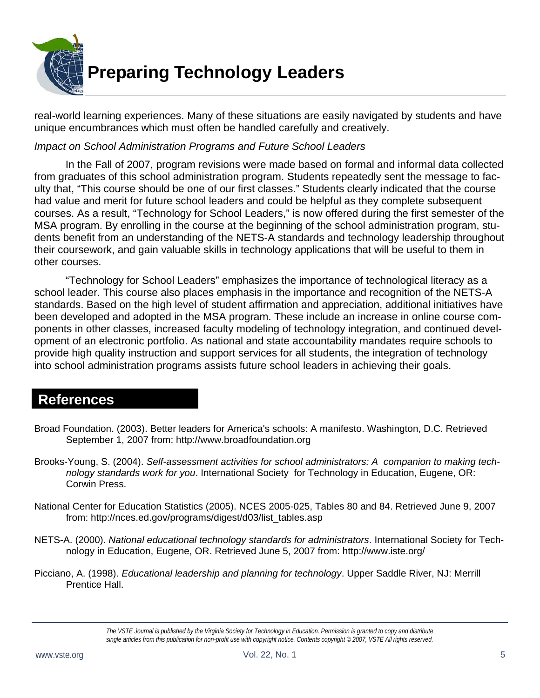

real-world learning experiences. Many of these situations are easily navigated by students and have unique encumbrances which must often be handled carefully and creatively.

#### *Impact on School Administration Programs and Future School Leaders*

In the Fall of 2007, program revisions were made based on formal and informal data collected from graduates of this school administration program. Students repeatedly sent the message to faculty that, "This course should be one of our first classes." Students clearly indicated that the course had value and merit for future school leaders and could be helpful as they complete subsequent courses. As a result, "Technology for School Leaders," is now offered during the first semester of the MSA program. By enrolling in the course at the beginning of the school administration program, students benefit from an understanding of the NETS-A standards and technology leadership throughout their coursework, and gain valuable skills in technology applications that will be useful to them in other courses.

"Technology for School Leaders" emphasizes the importance of technological literacy as a school leader. This course also places emphasis in the importance and recognition of the NETS-A standards. Based on the high level of student affirmation and appreciation, additional initiatives have been developed and adopted in the MSA program. These include an increase in online course components in other classes, increased faculty modeling of technology integration, and continued development of an electronic portfolio. As national and state accountability mandates require schools to provide high quality instruction and support services for all students, the integration of technology into school administration programs assists future school leaders in achieving their goals.

### **References**

- Broad Foundation. (2003). Better leaders for America's schools: A manifesto. Washington, D.C. Retrieved September 1, 2007 from: http://www.broadfoundation.org
- Brooks-Young, S. (2004). *Self-assessment activities for school administrators: A companion to making technology standards work for you*. International Society for Technology in Education, Eugene, OR: Corwin Press.
- National Center for Education Statistics (2005). NCES 2005-025, Tables 80 and 84. Retrieved June 9, 2007 from: http://nces.ed.gov/programs/digest/d03/list\_tables.asp
- NETS-A. (2000). *National educational technology standards for administrators*. International Society for Technology in Education, Eugene, OR. Retrieved June 5, 2007 from: http://www.iste.org/
- Picciano, A. (1998). *Educational leadership and planning for technology*. Upper Saddle River, NJ: Merrill Prentice Hall.

*The VSTE Journal is published by the Virginia Society for Technology in Education. Permission is granted to copy and distribute single articles from this publication for non-profit use with copyright notice. Contents copyright © 2007, VSTE All rights reserved.*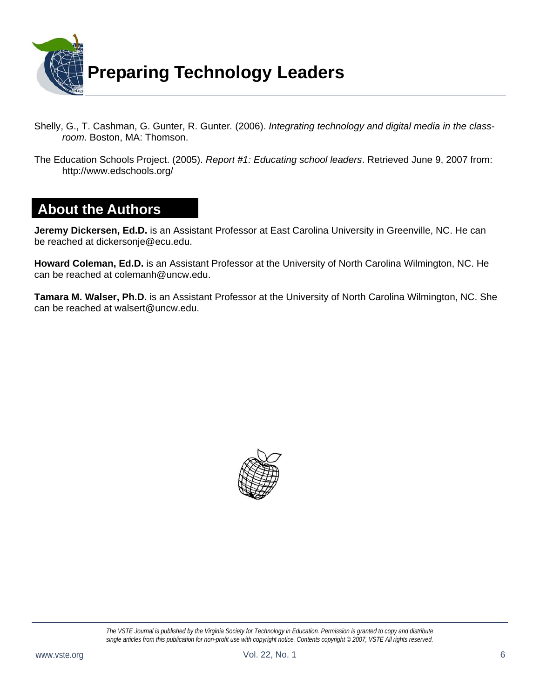

- Shelly, G., T. Cashman, G. Gunter, R. Gunter*.* (2006). *Integrating technology and digital media in the classroom*. Boston, MA: Thomson.
- The Education Schools Project. (2005). *Report #1: Educating school leaders*. Retrieved June 9, 2007 from: http://www.edschools.org/

### **About the Authors**

**Jeremy Dickersen, Ed.D.** is an Assistant Professor at East Carolina University in Greenville, NC. He can be reached at dickersonje@ecu.edu.

**Howard Coleman, Ed.D.** is an Assistant Professor at the University of North Carolina Wilmington, NC. He can be reached at colemanh@uncw.edu.

**Tamara M. Walser, Ph.D.** is an Assistant Professor at the University of North Carolina Wilmington, NC. She can be reached at walsert@uncw.edu.